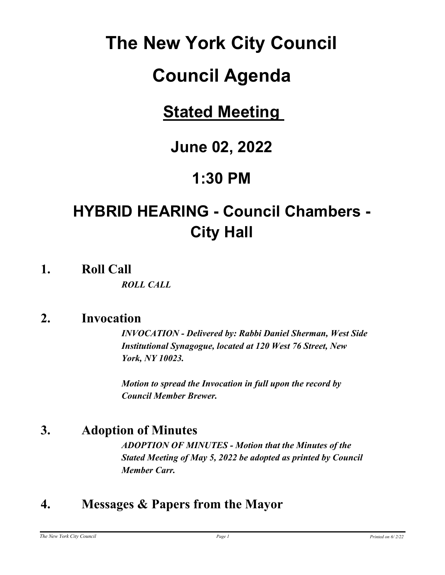# **The New York City Council**

# **Council Agenda**

# **Stated Meeting**

# **June 02, 2022**

## **1:30 PM**

# **HYBRID HEARING - Council Chambers - City Hall**

**1. Roll Call**

*ROLL CALL*

## **2. Invocation**

*INVOCATION - Delivered by: Rabbi Daniel Sherman, West Side Institutional Synagogue, located at 120 West 76 Street, New York, NY 10023.*

*Motion to spread the Invocation in full upon the record by Council Member Brewer.*

## **3. Adoption of Minutes**

*ADOPTION OF MINUTES - Motion that the Minutes of the Stated Meeting of May 5, 2022 be adopted as printed by Council Member Carr.*

## **4. Messages & Papers from the Mayor**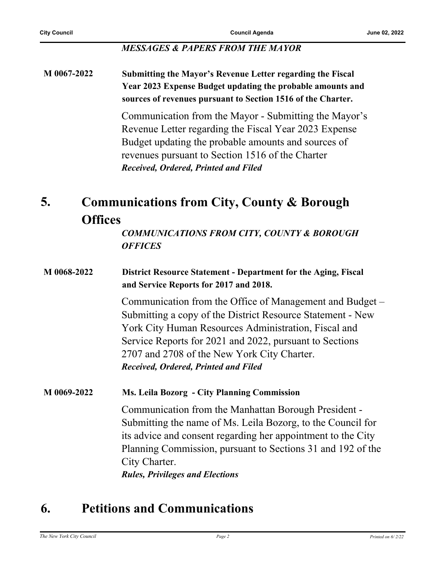#### *MESSAGES & PAPERS FROM THE MAYOR*

#### **M 0067-2022 Submitting the Mayor's Revenue Letter regarding the Fiscal Year 2023 Expense Budget updating the probable amounts and sources of revenues pursuant to Section 1516 of the Charter.**

Communication from the Mayor - Submitting the Mayor's Revenue Letter regarding the Fiscal Year 2023 Expense Budget updating the probable amounts and sources of revenues pursuant to Section 1516 of the Charter *Received, Ordered, Printed and Filed*

#### **Communications from City, County & Borough Offices 5.**

*COMMUNICATIONS FROM CITY, COUNTY & BOROUGH OFFICES*

#### **M 0068-2022 District Resource Statement - Department for the Aging, Fiscal and Service Reports for 2017 and 2018.**

Communication from the Office of Management and Budget – Submitting a copy of the District Resource Statement - New York City Human Resources Administration, Fiscal and Service Reports for 2021 and 2022, pursuant to Sections 2707 and 2708 of the New York City Charter. *Received, Ordered, Printed and Filed*

#### **M 0069-2022 Ms. Leila Bozorg - City Planning Commission**

Communication from the Manhattan Borough President - Submitting the name of Ms. Leila Bozorg, to the Council for its advice and consent regarding her appointment to the City Planning Commission, pursuant to Sections 31 and 192 of the City Charter. *Rules, Privileges and Elections*

## **6. Petitions and Communications**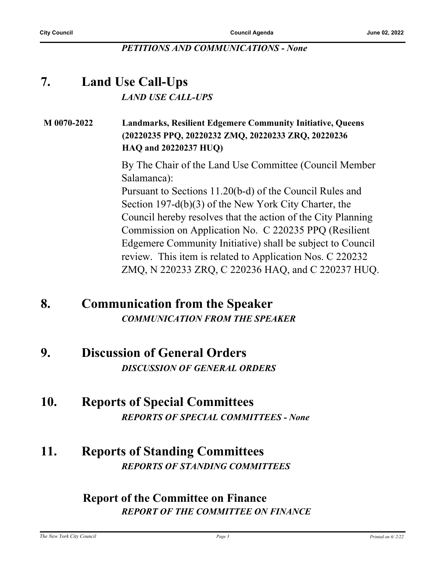#### *PETITIONS AND COMMUNICATIONS - None*

## **7. Land Use Call-Ups** *LAND USE CALL-UPS*

#### **M 0070-2022 Landmarks, Resilient Edgemere Community Initiative, Queens (20220235 PPQ, 20220232 ZMQ, 20220233 ZRQ, 20220236 HAQ and 20220237 HUQ)**

By The Chair of the Land Use Committee (Council Member Salamanca):

Pursuant to Sections 11.20(b-d) of the Council Rules and Section 197-d(b)(3) of the New York City Charter, the Council hereby resolves that the action of the City Planning Commission on Application No. C 220235 PPQ (Resilient Edgemere Community Initiative) shall be subject to Council review. This item is related to Application Nos. C 220232 ZMQ, N 220233 ZRQ, C 220236 HAQ, and C 220237 HUQ.

### **8. Communication from the Speaker** *COMMUNICATION FROM THE SPEAKER*

### **9. Discussion of General Orders** *DISCUSSION OF GENERAL ORDERS*

#### **10. Reports of Special Committees** *REPORTS OF SPECIAL COMMITTEES - None*

## **11. Reports of Standing Committees** *REPORTS OF STANDING COMMITTEES*

#### **Report of the Committee on Finance** *REPORT OF THE COMMITTEE ON FINANCE*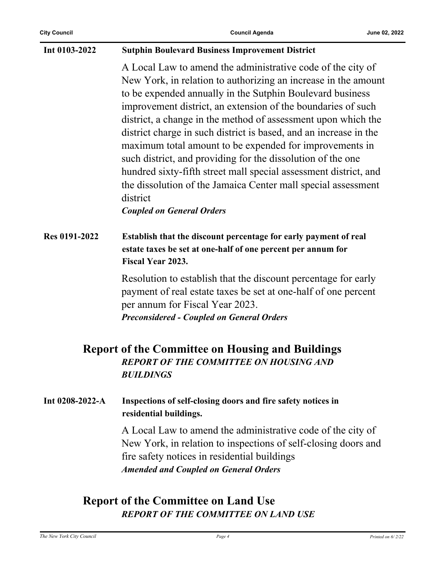| Int 0103-2022                                                                                                                | <b>Sutphin Boulevard Business Improvement District</b>                                                                                                                                                                                                                                                                                                                                                                                                                                                                                                                                                                                                                                                          |
|------------------------------------------------------------------------------------------------------------------------------|-----------------------------------------------------------------------------------------------------------------------------------------------------------------------------------------------------------------------------------------------------------------------------------------------------------------------------------------------------------------------------------------------------------------------------------------------------------------------------------------------------------------------------------------------------------------------------------------------------------------------------------------------------------------------------------------------------------------|
|                                                                                                                              | A Local Law to amend the administrative code of the city of<br>New York, in relation to authorizing an increase in the amount<br>to be expended annually in the Sutphin Boulevard business<br>improvement district, an extension of the boundaries of such<br>district, a change in the method of assessment upon which the<br>district charge in such district is based, and an increase in the<br>maximum total amount to be expended for improvements in<br>such district, and providing for the dissolution of the one<br>hundred sixty-fifth street mall special assessment district, and<br>the dissolution of the Jamaica Center mall special assessment<br>district<br><b>Coupled on General Orders</b> |
| <b>Res 0191-2022</b>                                                                                                         | Establish that the discount percentage for early payment of real<br>estate taxes be set at one-half of one percent per annum for<br>Fiscal Year 2023.                                                                                                                                                                                                                                                                                                                                                                                                                                                                                                                                                           |
|                                                                                                                              | Resolution to establish that the discount percentage for early<br>payment of real estate taxes be set at one-half of one percent<br>per annum for Fiscal Year 2023.<br><b>Preconsidered - Coupled on General Orders</b>                                                                                                                                                                                                                                                                                                                                                                                                                                                                                         |
| <b>Report of the Committee on Housing and Buildings</b><br><b>REPORT OF THE COMMITTEE ON HOUSING AND</b><br><b>BUILDINGS</b> |                                                                                                                                                                                                                                                                                                                                                                                                                                                                                                                                                                                                                                                                                                                 |
| Int 0208-2022-A                                                                                                              | Inspections of self-closing doors and fire safety notices in<br>residential buildings.                                                                                                                                                                                                                                                                                                                                                                                                                                                                                                                                                                                                                          |
|                                                                                                                              | A Local Law to amend the administrative code of the city of<br>New York, in relation to inspections of self-closing doors and<br>fire safety notices in residential buildings<br><b>Amended and Coupled on General Orders</b>                                                                                                                                                                                                                                                                                                                                                                                                                                                                                   |
|                                                                                                                              |                                                                                                                                                                                                                                                                                                                                                                                                                                                                                                                                                                                                                                                                                                                 |

### **Report of the Committee on Land Use** *REPORT OF THE COMMITTEE ON LAND USE*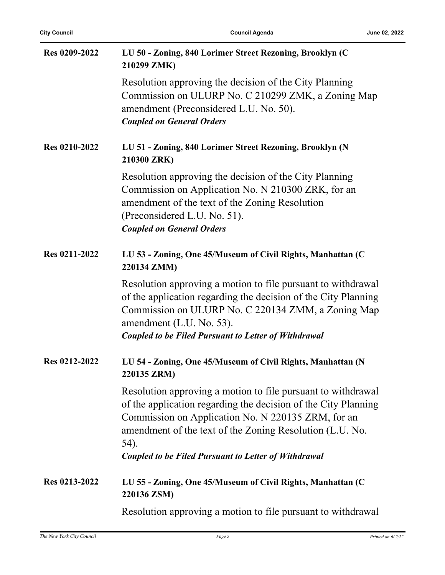| Res 0209-2022 | LU 50 - Zoning, 840 Lorimer Street Rezoning, Brooklyn (C<br>210299 ZMK)                                                                                                                                                                                                         |
|---------------|---------------------------------------------------------------------------------------------------------------------------------------------------------------------------------------------------------------------------------------------------------------------------------|
|               | Resolution approving the decision of the City Planning<br>Commission on ULURP No. C 210299 ZMK, a Zoning Map<br>amendment (Preconsidered L.U. No. 50).<br><b>Coupled on General Orders</b>                                                                                      |
| Res 0210-2022 | LU 51 - Zoning, 840 Lorimer Street Rezoning, Brooklyn (N<br>210300 ZRK)                                                                                                                                                                                                         |
|               | Resolution approving the decision of the City Planning<br>Commission on Application No. N 210300 ZRK, for an<br>amendment of the text of the Zoning Resolution<br>(Preconsidered L.U. No. 51).<br><b>Coupled on General Orders</b>                                              |
| Res 0211-2022 | LU 53 - Zoning, One 45/Museum of Civil Rights, Manhattan (C<br>220134 ZMM)                                                                                                                                                                                                      |
|               | Resolution approving a motion to file pursuant to withdrawal<br>of the application regarding the decision of the City Planning<br>Commission on ULURP No. C 220134 ZMM, a Zoning Map<br>amendment (L.U. No. 53).<br><b>Coupled to be Filed Pursuant to Letter of Withdrawal</b> |
| Res 0212-2022 | LU 54 - Zoning, One 45/Museum of Civil Rights, Manhattan (N<br>220135 ZRM)                                                                                                                                                                                                      |
|               | Resolution approving a motion to file pursuant to withdrawal<br>of the application regarding the decision of the City Planning<br>Commission on Application No. N 220135 ZRM, for an<br>amendment of the text of the Zoning Resolution (L.U. No.<br>54).                        |
|               | <b>Coupled to be Filed Pursuant to Letter of Withdrawal</b>                                                                                                                                                                                                                     |
| Res 0213-2022 | LU 55 - Zoning, One 45/Museum of Civil Rights, Manhattan (C<br>220136 ZSM)                                                                                                                                                                                                      |
|               | Resolution approving a motion to file pursuant to withdrawal                                                                                                                                                                                                                    |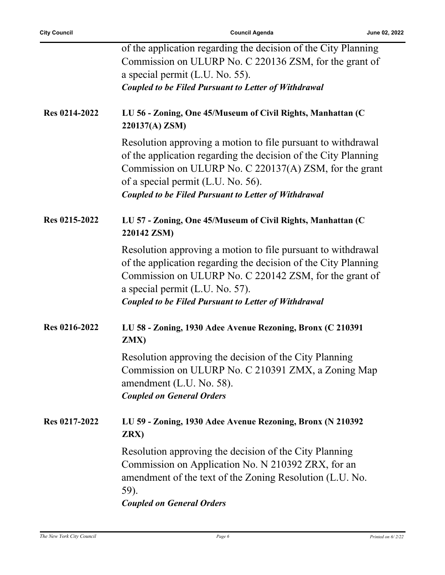|               | of the application regarding the decision of the City Planning<br>Commission on ULURP No. C 220136 ZSM, for the grant of<br>a special permit (L.U. No. 55).<br><b>Coupled to be Filed Pursuant to Letter of Withdrawal</b>                                                                    |
|---------------|-----------------------------------------------------------------------------------------------------------------------------------------------------------------------------------------------------------------------------------------------------------------------------------------------|
| Res 0214-2022 | LU 56 - Zoning, One 45/Museum of Civil Rights, Manhattan (C<br>220137(A) ZSM)                                                                                                                                                                                                                 |
|               | Resolution approving a motion to file pursuant to withdrawal<br>of the application regarding the decision of the City Planning<br>Commission on ULURP No. C 220137(A) ZSM, for the grant<br>of a special permit (L.U. No. 56).<br><b>Coupled to be Filed Pursuant to Letter of Withdrawal</b> |
| Res 0215-2022 | LU 57 - Zoning, One 45/Museum of Civil Rights, Manhattan (C<br>220142 ZSM)                                                                                                                                                                                                                    |
|               | Resolution approving a motion to file pursuant to withdrawal<br>of the application regarding the decision of the City Planning<br>Commission on ULURP No. C 220142 ZSM, for the grant of<br>a special permit (L.U. No. 57).<br><b>Coupled to be Filed Pursuant to Letter of Withdrawal</b>    |
| Res 0216-2022 | LU 58 - Zoning, 1930 Adee Avenue Rezoning, Bronx (C 210391<br>ZMX)                                                                                                                                                                                                                            |
|               | Resolution approving the decision of the City Planning<br>Commission on ULURP No. C 210391 ZMX, a Zoning Map<br>amendment (L.U. No. 58).<br><b>Coupled on General Orders</b>                                                                                                                  |
| Res 0217-2022 | LU 59 - Zoning, 1930 Adee Avenue Rezoning, Bronx (N 210392<br>ZRX)                                                                                                                                                                                                                            |
|               | Resolution approving the decision of the City Planning<br>Commission on Application No. N 210392 ZRX, for an<br>amendment of the text of the Zoning Resolution (L.U. No.<br>59).<br><b>Coupled on General Orders</b>                                                                          |
|               |                                                                                                                                                                                                                                                                                               |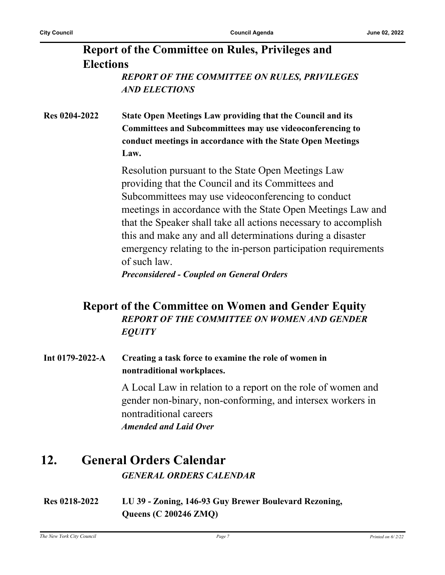#### **Report of the Committee on Rules, Privileges and Elections** *REPORT OF THE COMMITTEE ON RULES, PRIVILEGES AND ELECTIONS*

**Res 0204-2022 State Open Meetings Law providing that the Council and its Committees and Subcommittees may use videoconferencing to conduct meetings in accordance with the State Open Meetings Law.**

> Resolution pursuant to the State Open Meetings Law providing that the Council and its Committees and Subcommittees may use videoconferencing to conduct meetings in accordance with the State Open Meetings Law and that the Speaker shall take all actions necessary to accomplish this and make any and all determinations during a disaster emergency relating to the in-person participation requirements of such law.

*Preconsidered - Coupled on General Orders*

#### **Report of the Committee on Women and Gender Equity** *REPORT OF THE COMMITTEE ON WOMEN AND GENDER EQUITY*

**Int 0179-2022-A Creating a task force to examine the role of women in nontraditional workplaces.**

> A Local Law in relation to a report on the role of women and gender non-binary, non-conforming, and intersex workers in nontraditional careers *Amended and Laid Over*

#### **12. General Orders Calendar** *GENERAL ORDERS CALENDAR*

**Res 0218-2022 LU 39 - Zoning, 146-93 Guy Brewer Boulevard Rezoning, Queens (C 200246 ZMQ)**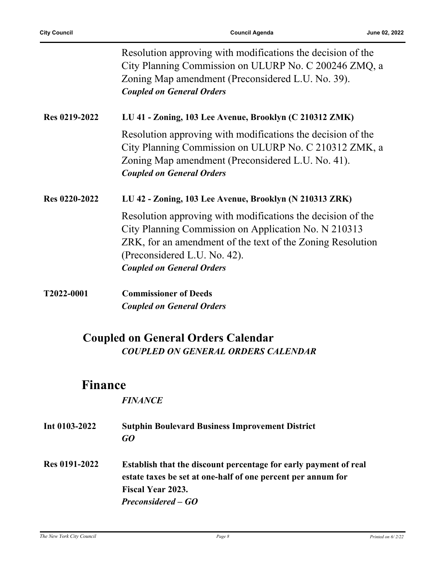|               | Resolution approving with modifications the decision of the<br>City Planning Commission on ULURP No. C 200246 ZMQ, a<br>Zoning Map amendment (Preconsidered L.U. No. 39).<br><b>Coupled on General Orders</b>                                         |
|---------------|-------------------------------------------------------------------------------------------------------------------------------------------------------------------------------------------------------------------------------------------------------|
| Res 0219-2022 | LU 41 - Zoning, 103 Lee Avenue, Brooklyn (C 210312 ZMK)                                                                                                                                                                                               |
|               | Resolution approving with modifications the decision of the<br>City Planning Commission on ULURP No. C 210312 ZMK, a<br>Zoning Map amendment (Preconsidered L.U. No. 41).<br><b>Coupled on General Orders</b>                                         |
| Res 0220-2022 | LU 42 - Zoning, 103 Lee Avenue, Brooklyn (N 210313 ZRK)                                                                                                                                                                                               |
|               | Resolution approving with modifications the decision of the<br>City Planning Commission on Application No. N 210313<br>ZRK, for an amendment of the text of the Zoning Resolution<br>(Preconsidered L.U. No. 42).<br><b>Coupled on General Orders</b> |
| T2022-0001    | <b>Commissioner of Deeds</b>                                                                                                                                                                                                                          |
|               | <b>Coupled on General Orders</b>                                                                                                                                                                                                                      |
|               | <b>Coupled on General Orders Calendar</b><br><b>COUPLED ON GENERAL ORDERS CALENDAR</b>                                                                                                                                                                |

## **Finance**

#### *FINANCE*

| Int 0103-2022        | <b>Sutphin Boulevard Business Improvement District</b><br>GO                                                                                                                       |
|----------------------|------------------------------------------------------------------------------------------------------------------------------------------------------------------------------------|
| <b>Res 0191-2022</b> | Establish that the discount percentage for early payment of real<br>estate taxes be set at one-half of one percent per annum for<br>Fiscal Year 2023.<br><b>Preconsidered – GO</b> |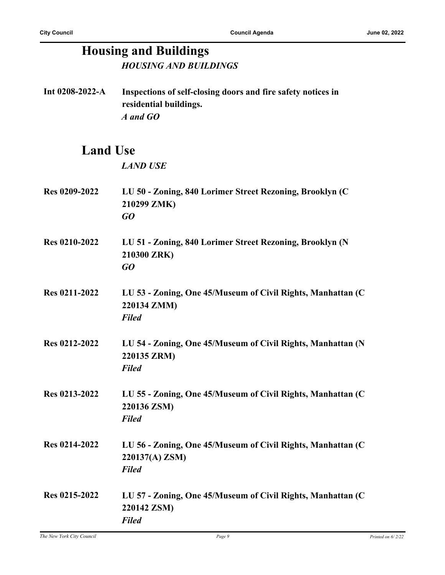# **Housing and Buildings**

*HOUSING AND BUILDINGS*

**Int 0208-2022-A Inspections of self-closing doors and fire safety notices in residential buildings.** *A and GO*

## **Land Use**

*LAND USE*

- **Res 0209-2022 LU 50 Zoning, 840 Lorimer Street Rezoning, Brooklyn (C 210299 ZMK)** *GO*
- **Res 0210-2022 LU 51 Zoning, 840 Lorimer Street Rezoning, Brooklyn (N 210300 ZRK)** *GO*
- **Res 0211-2022 LU 53 Zoning, One 45/Museum of Civil Rights, Manhattan (C 220134 ZMM)** *Filed*
- **Res 0212-2022 LU 54 Zoning, One 45/Museum of Civil Rights, Manhattan (N 220135 ZRM)** *Filed*
- **Res 0213-2022 LU 55 Zoning, One 45/Museum of Civil Rights, Manhattan (C 220136 ZSM)** *Filed*
- **Res 0214-2022 LU 56 Zoning, One 45/Museum of Civil Rights, Manhattan (C 220137(A) ZSM)** *Filed*
- **Res 0215-2022 LU 57 Zoning, One 45/Museum of Civil Rights, Manhattan (C 220142 ZSM)** *Filed*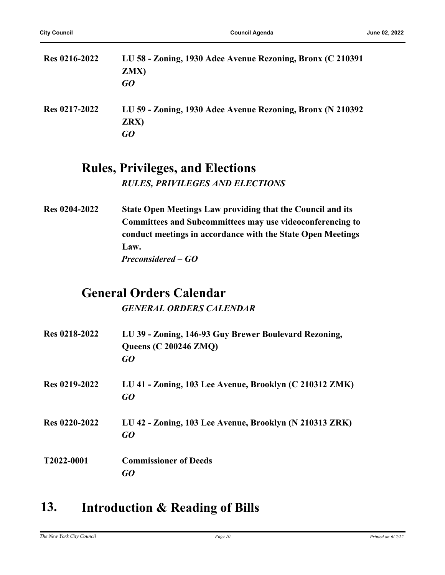| <b>Res 0216-2022</b> | LU 58 - Zoning, 1930 Adee Avenue Rezoning, Bronx (C 210391)<br>ZMX)<br>GO |
|----------------------|---------------------------------------------------------------------------|
| Res 0217-2022        | LU 59 - Zoning, 1930 Adee Avenue Rezoning, Bronx (N 210392)<br>ZRX)<br>GO |

#### **Rules, Privileges, and Elections** *RULES, PRIVILEGES AND ELECTIONS*

**Res 0204-2022 State Open Meetings Law providing that the Council and its Committees and Subcommittees may use videoconferencing to conduct meetings in accordance with the State Open Meetings Law.** *Preconsidered – GO*

## **General Orders Calendar**

*GENERAL ORDERS CALENDAR*

| Res 0218-2022 | LU 39 - Zoning, 146-93 Guy Brewer Boulevard Rezoning,<br><b>Queens (C 200246 ZMQ)</b><br>GO |
|---------------|---------------------------------------------------------------------------------------------|
| Res 0219-2022 | LU 41 - Zoning, 103 Lee Avenue, Brooklyn (C 210312 ZMK)<br>GQ                               |
| Res 0220-2022 | LU 42 - Zoning, 103 Lee Avenue, Brooklyn (N 210313 ZRK)<br>GQ                               |
| T2022-0001    | <b>Commissioner of Deeds</b><br>GO                                                          |

## **13. Introduction & Reading of Bills**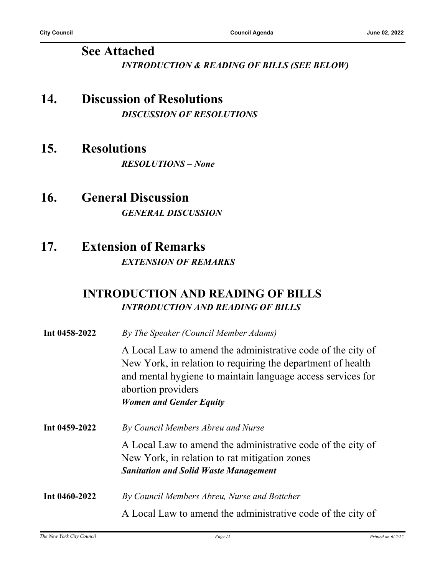#### **See Attached** *INTRODUCTION & READING OF BILLS (SEE BELOW)*

### **14. Discussion of Resolutions** *DISCUSSION OF RESOLUTIONS*

### **15. Resolutions**

*RESOLUTIONS – None*

### **16. General Discussion** *GENERAL DISCUSSION*

### **17. Extension of Remarks** *EXTENSION OF REMARKS*

#### **INTRODUCTION AND READING OF BILLS** *INTRODUCTION AND READING OF BILLS*

| Int 0458-2022 | By The Speaker (Council Member Adams)                                                                                                                                                                           |
|---------------|-----------------------------------------------------------------------------------------------------------------------------------------------------------------------------------------------------------------|
|               | A Local Law to amend the administrative code of the city of<br>New York, in relation to requiring the department of health<br>and mental hygiene to maintain language access services for<br>abortion providers |
|               | <b>Women and Gender Equity</b>                                                                                                                                                                                  |
| Int 0459-2022 | By Council Members Abreu and Nurse                                                                                                                                                                              |
|               | A Local Law to amend the administrative code of the city of<br>New York, in relation to rat mitigation zones<br><b>Sanitation and Solid Waste Management</b>                                                    |
| Int 0460-2022 | By Council Members Abreu, Nurse and Bottcher                                                                                                                                                                    |
|               | A Local Law to amend the administrative code of the city of                                                                                                                                                     |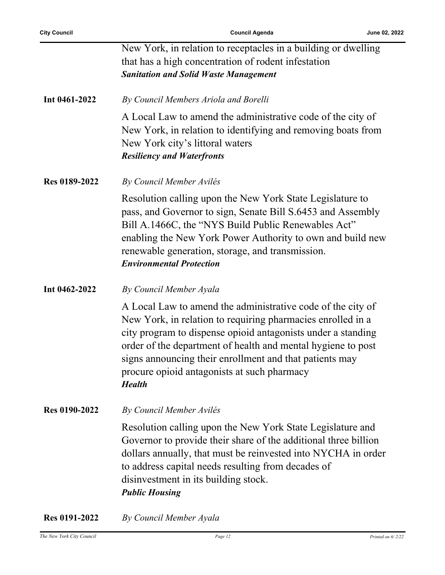j.

| New York, in relation to receptacles in a building or dwelling                                                                                                                                                                                                                                                                                                                        |
|---------------------------------------------------------------------------------------------------------------------------------------------------------------------------------------------------------------------------------------------------------------------------------------------------------------------------------------------------------------------------------------|
|                                                                                                                                                                                                                                                                                                                                                                                       |
| that has a high concentration of rodent infestation                                                                                                                                                                                                                                                                                                                                   |
| <b>Sanitation and Solid Waste Management</b>                                                                                                                                                                                                                                                                                                                                          |
| By Council Members Ariola and Borelli                                                                                                                                                                                                                                                                                                                                                 |
| A Local Law to amend the administrative code of the city of<br>New York, in relation to identifying and removing boats from<br>New York city's littoral waters<br><b>Resiliency and Waterfronts</b>                                                                                                                                                                                   |
| By Council Member Avilés                                                                                                                                                                                                                                                                                                                                                              |
| Resolution calling upon the New York State Legislature to<br>pass, and Governor to sign, Senate Bill S.6453 and Assembly<br>Bill A.1466C, the "NYS Build Public Renewables Act"<br>enabling the New York Power Authority to own and build new<br>renewable generation, storage, and transmission.<br><b>Environmental Protection</b>                                                  |
| By Council Member Ayala                                                                                                                                                                                                                                                                                                                                                               |
| A Local Law to amend the administrative code of the city of<br>New York, in relation to requiring pharmacies enrolled in a<br>city program to dispense opioid antagonists under a standing<br>order of the department of health and mental hygiene to post<br>signs announcing their enrollment and that patients may<br>procure opioid antagonists at such pharmacy<br><b>Health</b> |
| By Council Member Avilés                                                                                                                                                                                                                                                                                                                                                              |
| Resolution calling upon the New York State Legislature and<br>Governor to provide their share of the additional three billion<br>dollars annually, that must be reinvested into NYCHA in order<br>to address capital needs resulting from decades of<br>disinvestment in its building stock.<br><b>Public Housing</b>                                                                 |
|                                                                                                                                                                                                                                                                                                                                                                                       |

**Res 0191-2022** *By Council Member Ayala*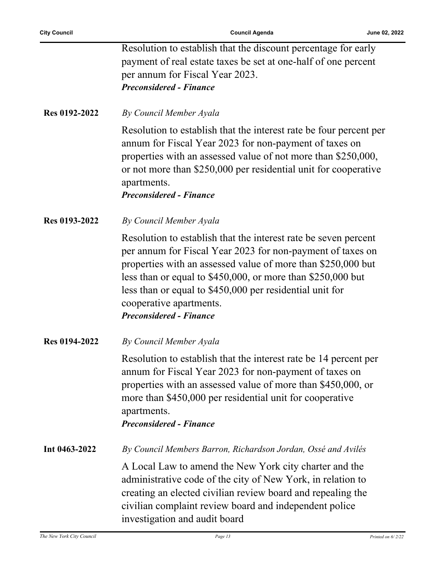÷

|                      | Resolution to establish that the discount percentage for early<br>payment of real estate taxes be set at one-half of one percent<br>per annum for Fiscal Year 2023.<br><b>Preconsidered - Finance</b>                                                                                                                                                                                 |
|----------------------|---------------------------------------------------------------------------------------------------------------------------------------------------------------------------------------------------------------------------------------------------------------------------------------------------------------------------------------------------------------------------------------|
| Res 0192-2022        | By Council Member Ayala                                                                                                                                                                                                                                                                                                                                                               |
|                      | Resolution to establish that the interest rate be four percent per<br>annum for Fiscal Year 2023 for non-payment of taxes on<br>properties with an assessed value of not more than \$250,000,<br>or not more than \$250,000 per residential unit for cooperative<br>apartments.<br><b>Preconsidered - Finance</b>                                                                     |
| <b>Res 0193-2022</b> | By Council Member Ayala                                                                                                                                                                                                                                                                                                                                                               |
|                      | Resolution to establish that the interest rate be seven percent<br>per annum for Fiscal Year 2023 for non-payment of taxes on<br>properties with an assessed value of more than \$250,000 but<br>less than or equal to \$450,000, or more than \$250,000 but<br>less than or equal to \$450,000 per residential unit for<br>cooperative apartments.<br><b>Preconsidered - Finance</b> |
| <b>Res 0194-2022</b> | By Council Member Ayala                                                                                                                                                                                                                                                                                                                                                               |
|                      | Resolution to establish that the interest rate be 14 percent per<br>annum for Fiscal Year 2023 for non-payment of taxes on<br>properties with an assessed value of more than \$450,000, or<br>more than \$450,000 per residential unit for cooperative<br>apartments.<br><b>Preconsidered - Finance</b>                                                                               |
| Int 0463-2022        | By Council Members Barron, Richardson Jordan, Ossé and Avilés                                                                                                                                                                                                                                                                                                                         |
|                      | A Local Law to amend the New York city charter and the<br>administrative code of the city of New York, in relation to<br>creating an elected civilian review board and repealing the<br>civilian complaint review board and independent police<br>investigation and audit board                                                                                                       |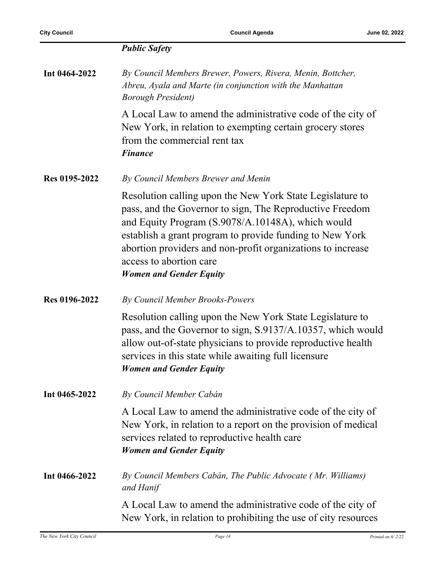**Int 0464-2022** *By Council Members Brewer, Powers, Rivera, Menin, Bottcher, Abreu, Ayala and Marte (in conjunction with the Manhattan Borough President)*

> A Local Law to amend the administrative code of the city of New York, in relation to exempting certain grocery stores from the commercial rent tax *Finance*

**Res 0195-2022** *By Council Members Brewer and Menin*

Resolution calling upon the New York State Legislature to pass, and the Governor to sign, The Reproductive Freedom and Equity Program (S.9078/A.10148A), which would establish a grant program to provide funding to New York abortion providers and non-profit organizations to increase access to abortion care *Women and Gender Equity*

**Res 0196-2022** *By Council Member Brooks-Powers*

Resolution calling upon the New York State Legislature to pass, and the Governor to sign, S.9137/A.10357, which would allow out-of-state physicians to provide reproductive health services in this state while awaiting full licensure *Women and Gender Equity*

**Int 0465-2022** *By Council Member Cabán*

A Local Law to amend the administrative code of the city of New York, in relation to a report on the provision of medical services related to reproductive health care *Women and Gender Equity*

#### **Int 0466-2022** *By Council Members Cabán, The Public Advocate ( Mr. Williams) and Hanif*

A Local Law to amend the administrative code of the city of New York, in relation to prohibiting the use of city resources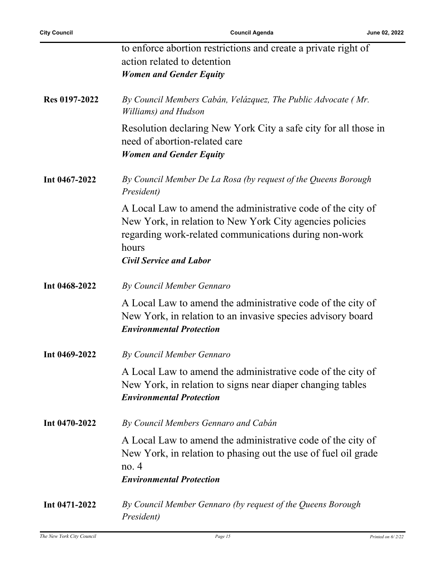|               | to enforce abortion restrictions and create a private right of                                                                                                                                                              |
|---------------|-----------------------------------------------------------------------------------------------------------------------------------------------------------------------------------------------------------------------------|
|               | action related to detention                                                                                                                                                                                                 |
|               | <b>Women and Gender Equity</b>                                                                                                                                                                                              |
|               |                                                                                                                                                                                                                             |
| Res 0197-2022 | By Council Members Cabán, Velázquez, The Public Advocate (Mr.<br>Williams) and Hudson                                                                                                                                       |
|               | Resolution declaring New York City a safe city for all those in<br>need of abortion-related care<br><b>Women and Gender Equity</b>                                                                                          |
| Int 0467-2022 | By Council Member De La Rosa (by request of the Queens Borough<br>President)                                                                                                                                                |
|               | A Local Law to amend the administrative code of the city of<br>New York, in relation to New York City agencies policies<br>regarding work-related communications during non-work<br>hours<br><b>Civil Service and Labor</b> |
|               |                                                                                                                                                                                                                             |
| Int 0468-2022 | By Council Member Gennaro                                                                                                                                                                                                   |
|               | A Local Law to amend the administrative code of the city of<br>New York, in relation to an invasive species advisory board<br><b>Environmental Protection</b>                                                               |
| Int 0469-2022 | By Council Member Gennaro                                                                                                                                                                                                   |
|               | A Local Law to amend the administrative code of the city of<br>New York, in relation to signs near diaper changing tables<br><b>Environmental Protection</b>                                                                |
| Int 0470-2022 | By Council Members Gennaro and Cabán                                                                                                                                                                                        |
|               | A Local Law to amend the administrative code of the city of<br>New York, in relation to phasing out the use of fuel oil grade<br>no.4                                                                                       |
|               | <b>Environmental Protection</b>                                                                                                                                                                                             |
| Int 0471-2022 | By Council Member Gennaro (by request of the Queens Borough<br>President)                                                                                                                                                   |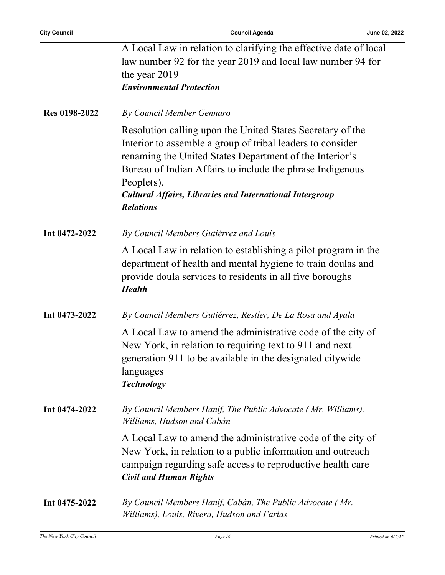Ĭ.

|               | A Local Law in relation to clarifying the effective date of local<br>law number 92 for the year 2019 and local law number 94 for<br>the year 2019                                                                                                                                                                                                         |
|---------------|-----------------------------------------------------------------------------------------------------------------------------------------------------------------------------------------------------------------------------------------------------------------------------------------------------------------------------------------------------------|
|               | <b>Environmental Protection</b>                                                                                                                                                                                                                                                                                                                           |
| Res 0198-2022 | By Council Member Gennaro                                                                                                                                                                                                                                                                                                                                 |
|               | Resolution calling upon the United States Secretary of the<br>Interior to assemble a group of tribal leaders to consider<br>renaming the United States Department of the Interior's<br>Bureau of Indian Affairs to include the phrase Indigenous<br>People $(s)$ .<br><b>Cultural Affairs, Libraries and International Intergroup</b><br><b>Relations</b> |
| Int 0472-2022 | By Council Members Gutiérrez and Louis                                                                                                                                                                                                                                                                                                                    |
|               | A Local Law in relation to establishing a pilot program in the<br>department of health and mental hygiene to train doulas and<br>provide doula services to residents in all five boroughs<br><b>Health</b>                                                                                                                                                |
| Int 0473-2022 | By Council Members Gutiérrez, Restler, De La Rosa and Ayala                                                                                                                                                                                                                                                                                               |
|               | A Local Law to amend the administrative code of the city of<br>New York, in relation to requiring text to 911 and next<br>generation 911 to be available in the designated citywide<br>languages<br><b>Technology</b>                                                                                                                                     |
| Int 0474-2022 | By Council Members Hanif, The Public Advocate (Mr. Williams),<br>Williams, Hudson and Cabán                                                                                                                                                                                                                                                               |
|               | A Local Law to amend the administrative code of the city of<br>New York, in relation to a public information and outreach<br>campaign regarding safe access to reproductive health care<br><b>Civil and Human Rights</b>                                                                                                                                  |
| Int 0475-2022 | By Council Members Hanif, Cabán, The Public Advocate (Mr.<br>Williams), Louis, Rivera, Hudson and Farías                                                                                                                                                                                                                                                  |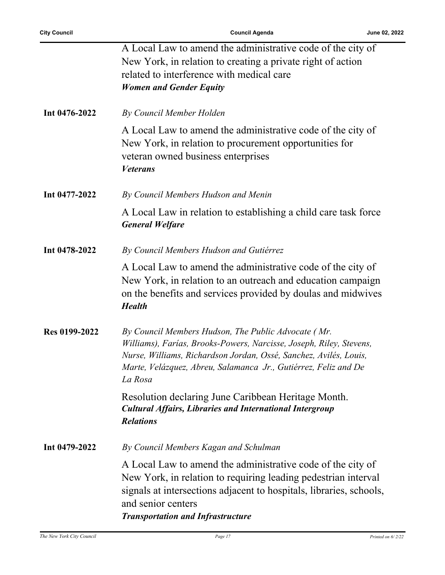l,

|               | A Local Law to amend the administrative code of the city of<br>New York, in relation to creating a private right of action<br>related to interference with medical care<br><b>Women and Gender Equity</b>                                                                     |
|---------------|-------------------------------------------------------------------------------------------------------------------------------------------------------------------------------------------------------------------------------------------------------------------------------|
| Int 0476-2022 | By Council Member Holden                                                                                                                                                                                                                                                      |
|               | A Local Law to amend the administrative code of the city of<br>New York, in relation to procurement opportunities for<br>veteran owned business enterprises<br><b>Veterans</b>                                                                                                |
| Int 0477-2022 | By Council Members Hudson and Menin                                                                                                                                                                                                                                           |
|               | A Local Law in relation to establishing a child care task force<br><b>General Welfare</b>                                                                                                                                                                                     |
| Int 0478-2022 | By Council Members Hudson and Gutiérrez                                                                                                                                                                                                                                       |
|               | A Local Law to amend the administrative code of the city of<br>New York, in relation to an outreach and education campaign<br>on the benefits and services provided by doulas and midwives<br><b>Health</b>                                                                   |
| Res 0199-2022 | By Council Members Hudson, The Public Advocate (Mr.<br>Williams), Farías, Brooks-Powers, Narcisse, Joseph, Riley, Stevens,<br>Nurse, Williams, Richardson Jordan, Ossé, Sanchez, Avilés, Louis,<br>Marte, Velázquez, Abreu, Salamanca Jr., Gutiérrez, Feliz and De<br>La Rosa |
|               | Resolution declaring June Caribbean Heritage Month.<br><b>Cultural Affairs, Libraries and International Intergroup</b><br><b>Relations</b>                                                                                                                                    |
| Int 0479-2022 | By Council Members Kagan and Schulman                                                                                                                                                                                                                                         |
|               | A Local Law to amend the administrative code of the city of<br>New York, in relation to requiring leading pedestrian interval<br>signals at intersections adjacent to hospitals, libraries, schools,<br>and senior centers<br><b>Transportation and Infrastructure</b>        |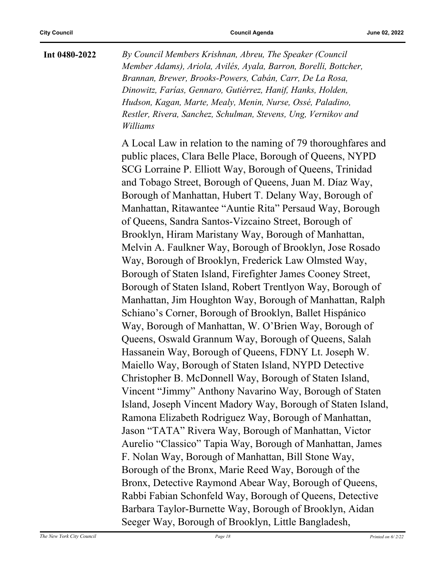**Int 0480-2022** *By Council Members Krishnan, Abreu, The Speaker (Council Member Adams), Ariola, Avilés, Ayala, Barron, Borelli, Bottcher, Brannan, Brewer, Brooks-Powers, Cabán, Carr, De La Rosa, Dinowitz, Farías, Gennaro, Gutiérrez, Hanif, Hanks, Holden, Hudson, Kagan, Marte, Mealy, Menin, Nurse, Ossé, Paladino, Restler, Rivera, Sanchez, Schulman, Stevens, Ung, Vernikov and Williams*

> A Local Law in relation to the naming of 79 thoroughfares and public places, Clara Belle Place, Borough of Queens, NYPD SCG Lorraine P. Elliott Way, Borough of Queens, Trinidad and Tobago Street, Borough of Queens, Juan M. Díaz Way, Borough of Manhattan, Hubert T. Delany Way, Borough of Manhattan, Ritawantee "Auntie Rita" Persaud Way, Borough of Queens, Sandra Santos-Vizcaino Street, Borough of Brooklyn, Hiram Maristany Way, Borough of Manhattan, Melvin A. Faulkner Way, Borough of Brooklyn, Jose Rosado Way, Borough of Brooklyn, Frederick Law Olmsted Way, Borough of Staten Island, Firefighter James Cooney Street, Borough of Staten Island, Robert Trentlyon Way, Borough of Manhattan, Jim Houghton Way, Borough of Manhattan, Ralph Schiano's Corner, Borough of Brooklyn, Ballet Hispánico Way, Borough of Manhattan, W. O'Brien Way, Borough of Queens, Oswald Grannum Way, Borough of Queens, Salah Hassanein Way, Borough of Queens, FDNY Lt. Joseph W. Maiello Way, Borough of Staten Island, NYPD Detective Christopher B. McDonnell Way, Borough of Staten Island, Vincent "Jimmy" Anthony Navarino Way, Borough of Staten Island, Joseph Vincent Madory Way, Borough of Staten Island, Ramona Elizabeth Rodriguez Way, Borough of Manhattan, Jason "TATA" Rivera Way, Borough of Manhattan, Victor Aurelio "Classico" Tapia Way, Borough of Manhattan, James F. Nolan Way, Borough of Manhattan, Bill Stone Way, Borough of the Bronx, Marie Reed Way, Borough of the Bronx, Detective Raymond Abear Way, Borough of Queens, Rabbi Fabian Schonfeld Way, Borough of Queens, Detective Barbara Taylor-Burnette Way, Borough of Brooklyn, Aidan Seeger Way, Borough of Brooklyn, Little Bangladesh,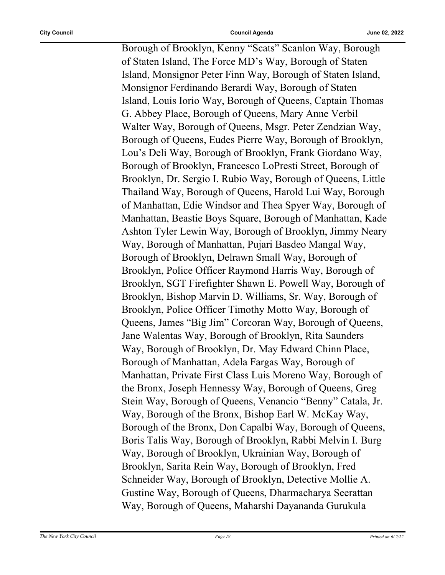Borough of Brooklyn, Kenny "Scats" Scanlon Way, Borough of Staten Island, The Force MD's Way, Borough of Staten Island, Monsignor Peter Finn Way, Borough of Staten Island, Monsignor Ferdinando Berardi Way, Borough of Staten Island, Louis Iorio Way, Borough of Queens, Captain Thomas G. Abbey Place, Borough of Queens, Mary Anne Verbil Walter Way, Borough of Queens, Msgr. Peter Zendzian Way, Borough of Queens, Eudes Pierre Way, Borough of Brooklyn, Lou's Deli Way, Borough of Brooklyn, Frank Giordano Way, Borough of Brooklyn, Francesco LoPresti Street, Borough of Brooklyn, Dr. Sergio I. Rubio Way, Borough of Queens, Little Thailand Way, Borough of Queens, Harold Lui Way, Borough of Manhattan, Edie Windsor and Thea Spyer Way, Borough of Manhattan, Beastie Boys Square, Borough of Manhattan, Kade Ashton Tyler Lewin Way, Borough of Brooklyn, Jimmy Neary Way, Borough of Manhattan, Pujari Basdeo Mangal Way, Borough of Brooklyn, Delrawn Small Way, Borough of Brooklyn, Police Officer Raymond Harris Way, Borough of Brooklyn, SGT Firefighter Shawn E. Powell Way, Borough of Brooklyn, Bishop Marvin D. Williams, Sr. Way, Borough of Brooklyn, Police Officer Timothy Motto Way, Borough of Queens, James "Big Jim" Corcoran Way, Borough of Queens, Jane Walentas Way, Borough of Brooklyn, Rita Saunders Way, Borough of Brooklyn, Dr. May Edward Chinn Place, Borough of Manhattan, Adela Fargas Way, Borough of Manhattan, Private First Class Luis Moreno Way, Borough of the Bronx, Joseph Hennessy Way, Borough of Queens, Greg Stein Way, Borough of Queens, Venancio "Benny" Catala, Jr. Way, Borough of the Bronx, Bishop Earl W. McKay Way, Borough of the Bronx, Don Capalbi Way, Borough of Queens, Boris Talis Way, Borough of Brooklyn, Rabbi Melvin I. Burg Way, Borough of Brooklyn, Ukrainian Way, Borough of Brooklyn, Sarita Rein Way, Borough of Brooklyn, Fred Schneider Way, Borough of Brooklyn, Detective Mollie A. Gustine Way, Borough of Queens, Dharmacharya Seerattan Way, Borough of Queens, Maharshi Dayananda Gurukula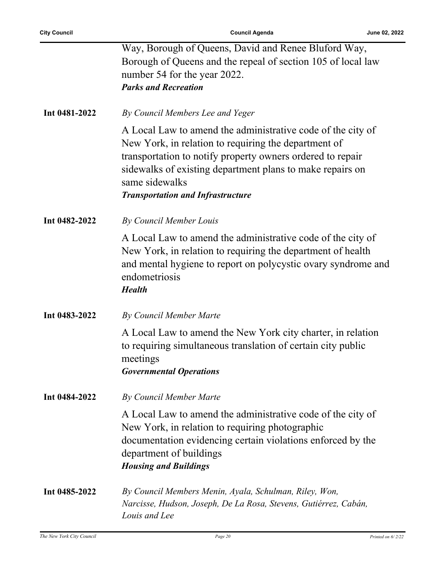|               | Way, Borough of Queens, David and Renee Bluford Way,<br>Borough of Queens and the repeal of section 105 of local law<br>number 54 for the year 2022.<br><b>Parks and Recreation</b>                                                                                                                          |
|---------------|--------------------------------------------------------------------------------------------------------------------------------------------------------------------------------------------------------------------------------------------------------------------------------------------------------------|
| Int 0481-2022 | By Council Members Lee and Yeger                                                                                                                                                                                                                                                                             |
|               | A Local Law to amend the administrative code of the city of<br>New York, in relation to requiring the department of<br>transportation to notify property owners ordered to repair<br>sidewalks of existing department plans to make repairs on<br>same sidewalks<br><b>Transportation and Infrastructure</b> |
| Int 0482-2022 | By Council Member Louis                                                                                                                                                                                                                                                                                      |
|               | A Local Law to amend the administrative code of the city of<br>New York, in relation to requiring the department of health<br>and mental hygiene to report on polycystic ovary syndrome and<br>endometriosis<br><b>Health</b>                                                                                |
| Int 0483-2022 | By Council Member Marte                                                                                                                                                                                                                                                                                      |
|               | A Local Law to amend the New York city charter, in relation<br>to requiring simultaneous translation of certain city public<br>meetings<br><b>Governmental Operations</b>                                                                                                                                    |
| Int 0484-2022 | By Council Member Marte                                                                                                                                                                                                                                                                                      |
|               | A Local Law to amend the administrative code of the city of<br>New York, in relation to requiring photographic<br>documentation evidencing certain violations enforced by the<br>department of buildings<br><b>Housing and Buildings</b>                                                                     |
| Int 0485-2022 | By Council Members Menin, Ayala, Schulman, Riley, Won,<br>Narcisse, Hudson, Joseph, De La Rosa, Stevens, Gutiérrez, Cabán,<br>Louis and Lee                                                                                                                                                                  |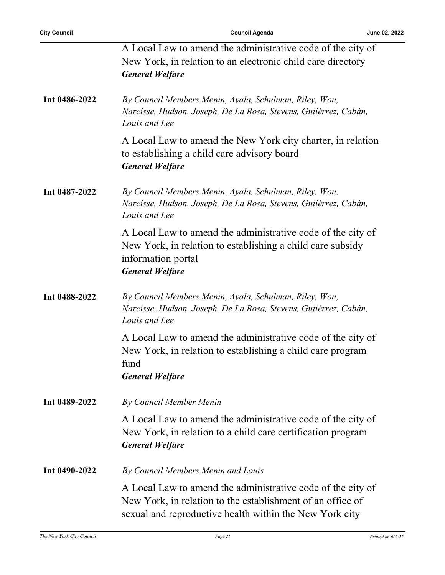l,

|               | A Local Law to amend the administrative code of the city of<br>New York, in relation to an electronic child care directory<br><b>General Welfare</b>                                 |
|---------------|--------------------------------------------------------------------------------------------------------------------------------------------------------------------------------------|
| Int 0486-2022 | By Council Members Menin, Ayala, Schulman, Riley, Won,<br>Narcisse, Hudson, Joseph, De La Rosa, Stevens, Gutiérrez, Cabán,<br>Louis and Lee                                          |
|               | A Local Law to amend the New York city charter, in relation<br>to establishing a child care advisory board<br><b>General Welfare</b>                                                 |
| Int 0487-2022 | By Council Members Menin, Ayala, Schulman, Riley, Won,<br>Narcisse, Hudson, Joseph, De La Rosa, Stevens, Gutiérrez, Cabán,<br>Louis and Lee                                          |
|               | A Local Law to amend the administrative code of the city of<br>New York, in relation to establishing a child care subsidy<br>information portal<br><b>General Welfare</b>            |
| Int 0488-2022 | By Council Members Menin, Ayala, Schulman, Riley, Won,<br>Narcisse, Hudson, Joseph, De La Rosa, Stevens, Gutiérrez, Cabán,<br>Louis and Lee                                          |
|               | A Local Law to amend the administrative code of the city of<br>New York, in relation to establishing a child care program<br>fund<br><b>General Welfare</b>                          |
| Int 0489-2022 | By Council Member Menin                                                                                                                                                              |
|               | A Local Law to amend the administrative code of the city of<br>New York, in relation to a child care certification program<br><b>General Welfare</b>                                 |
| Int 0490-2022 | By Council Members Menin and Louis                                                                                                                                                   |
|               | A Local Law to amend the administrative code of the city of<br>New York, in relation to the establishment of an office of<br>sexual and reproductive health within the New York city |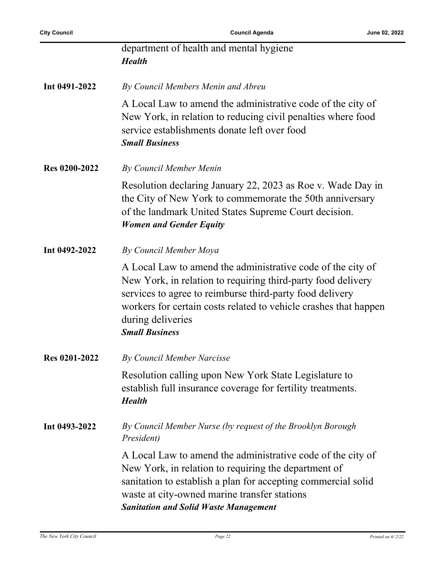|                      | department of health and mental hygiene<br><b>Health</b>                                                                                                                                                                                                                                                  |
|----------------------|-----------------------------------------------------------------------------------------------------------------------------------------------------------------------------------------------------------------------------------------------------------------------------------------------------------|
| Int 0491-2022        | By Council Members Menin and Abreu                                                                                                                                                                                                                                                                        |
|                      | A Local Law to amend the administrative code of the city of<br>New York, in relation to reducing civil penalties where food<br>service establishments donate left over food<br><b>Small Business</b>                                                                                                      |
| <b>Res 0200-2022</b> | By Council Member Menin                                                                                                                                                                                                                                                                                   |
|                      | Resolution declaring January 22, 2023 as Roe v. Wade Day in<br>the City of New York to commemorate the 50th anniversary<br>of the landmark United States Supreme Court decision.<br><b>Women and Gender Equity</b>                                                                                        |
| Int 0492-2022        | By Council Member Moya                                                                                                                                                                                                                                                                                    |
|                      | A Local Law to amend the administrative code of the city of<br>New York, in relation to requiring third-party food delivery<br>services to agree to reimburse third-party food delivery<br>workers for certain costs related to vehicle crashes that happen<br>during deliveries<br><b>Small Business</b> |
| <b>Res 0201-2022</b> | By Council Member Narcisse                                                                                                                                                                                                                                                                                |
|                      | Resolution calling upon New York State Legislature to<br>establish full insurance coverage for fertility treatments.<br><b>Health</b>                                                                                                                                                                     |
| Int 0493-2022        | By Council Member Nurse (by request of the Brooklyn Borough<br>President)                                                                                                                                                                                                                                 |
|                      | A Local Law to amend the administrative code of the city of<br>New York, in relation to requiring the department of<br>sanitation to establish a plan for accepting commercial solid<br>waste at city-owned marine transfer stations<br><b>Sanitation and Solid Waste Management</b>                      |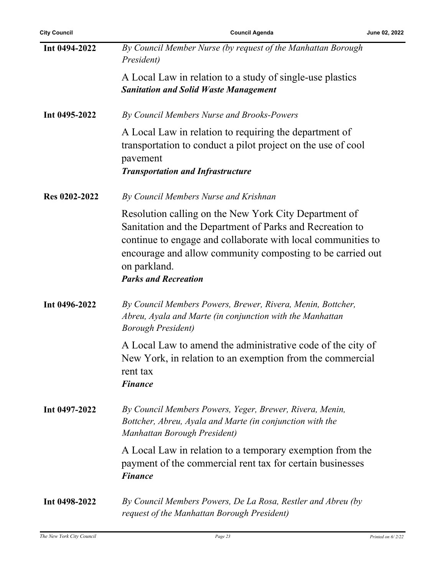| <b>City Council</b>  | <b>Council Agenda</b><br>June 02, 2022                                                                                                                                                                                                                                                         |  |
|----------------------|------------------------------------------------------------------------------------------------------------------------------------------------------------------------------------------------------------------------------------------------------------------------------------------------|--|
| Int 0494-2022        | By Council Member Nurse (by request of the Manhattan Borough<br>President)                                                                                                                                                                                                                     |  |
|                      | A Local Law in relation to a study of single-use plastics<br><b>Sanitation and Solid Waste Management</b>                                                                                                                                                                                      |  |
| Int 0495-2022        | By Council Members Nurse and Brooks-Powers                                                                                                                                                                                                                                                     |  |
|                      | A Local Law in relation to requiring the department of<br>transportation to conduct a pilot project on the use of cool<br>pavement<br><b>Transportation and Infrastructure</b>                                                                                                                 |  |
| <b>Res 0202-2022</b> | By Council Members Nurse and Krishnan                                                                                                                                                                                                                                                          |  |
|                      | Resolution calling on the New York City Department of<br>Sanitation and the Department of Parks and Recreation to<br>continue to engage and collaborate with local communities to<br>encourage and allow community composting to be carried out<br>on parkland.<br><b>Parks and Recreation</b> |  |
| Int 0496-2022        | By Council Members Powers, Brewer, Rivera, Menin, Bottcher,<br>Abreu, Ayala and Marte (in conjunction with the Manhattan<br><b>Borough President</b> )                                                                                                                                         |  |
|                      | A Local Law to amend the administrative code of the city of<br>New York, in relation to an exemption from the commercial<br>rent tax<br><b>Finance</b>                                                                                                                                         |  |
| Int 0497-2022        | By Council Members Powers, Yeger, Brewer, Rivera, Menin,<br>Bottcher, Abreu, Ayala and Marte (in conjunction with the<br>Manhattan Borough President)                                                                                                                                          |  |
|                      | A Local Law in relation to a temporary exemption from the<br>payment of the commercial rent tax for certain businesses<br><b>Finance</b>                                                                                                                                                       |  |
| Int 0498-2022        | By Council Members Powers, De La Rosa, Restler and Abreu (by<br>request of the Manhattan Borough President)                                                                                                                                                                                    |  |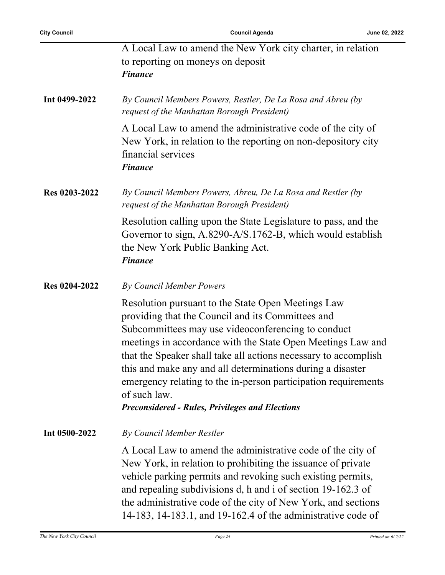|               | A Local Law to amend the New York city charter, in relation<br>to reporting on moneys on deposit<br><b>Finance</b>                                                                                                                                                                                                                                                                                                                                                                                        |
|---------------|-----------------------------------------------------------------------------------------------------------------------------------------------------------------------------------------------------------------------------------------------------------------------------------------------------------------------------------------------------------------------------------------------------------------------------------------------------------------------------------------------------------|
| Int 0499-2022 | By Council Members Powers, Restler, De La Rosa and Abreu (by<br>request of the Manhattan Borough President)                                                                                                                                                                                                                                                                                                                                                                                               |
|               | A Local Law to amend the administrative code of the city of<br>New York, in relation to the reporting on non-depository city<br>financial services<br><b>Finance</b>                                                                                                                                                                                                                                                                                                                                      |
| Res 0203-2022 | By Council Members Powers, Abreu, De La Rosa and Restler (by<br>request of the Manhattan Borough President)                                                                                                                                                                                                                                                                                                                                                                                               |
|               | Resolution calling upon the State Legislature to pass, and the<br>Governor to sign, A.8290-A/S.1762-B, which would establish<br>the New York Public Banking Act.<br><b>Finance</b>                                                                                                                                                                                                                                                                                                                        |
| Res 0204-2022 | By Council Member Powers                                                                                                                                                                                                                                                                                                                                                                                                                                                                                  |
|               | Resolution pursuant to the State Open Meetings Law<br>providing that the Council and its Committees and<br>Subcommittees may use videoconferencing to conduct<br>meetings in accordance with the State Open Meetings Law and<br>that the Speaker shall take all actions necessary to accomplish<br>this and make any and all determinations during a disaster<br>emergency relating to the in-person participation requirements<br>of such law.<br><b>Preconsidered - Rules, Privileges and Elections</b> |
| Int 0500-2022 | <b>By Council Member Restler</b>                                                                                                                                                                                                                                                                                                                                                                                                                                                                          |
|               | A Local Law to amend the administrative code of the city of<br>New York, in relation to prohibiting the issuance of private<br>vehicle parking permits and revoking such existing permits,<br>and repealing subdivisions d, h and i of section 19-162.3 of<br>the administrative code of the city of New York, and sections<br>14-183, 14-183.1, and 19-162.4 of the administrative code of                                                                                                               |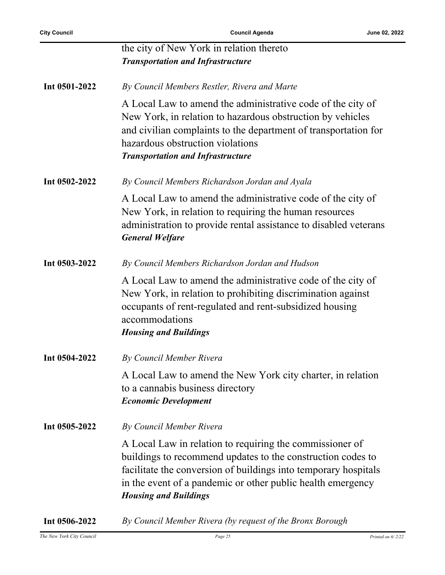|               | the city of New York in relation thereto<br><b>Transportation and Infrastructure</b>                                                                                                                                                                                                      |
|---------------|-------------------------------------------------------------------------------------------------------------------------------------------------------------------------------------------------------------------------------------------------------------------------------------------|
| Int 0501-2022 | By Council Members Restler, Rivera and Marte                                                                                                                                                                                                                                              |
|               | A Local Law to amend the administrative code of the city of<br>New York, in relation to hazardous obstruction by vehicles<br>and civilian complaints to the department of transportation for<br>hazardous obstruction violations<br><b>Transportation and Infrastructure</b>              |
| Int 0502-2022 | By Council Members Richardson Jordan and Ayala                                                                                                                                                                                                                                            |
|               | A Local Law to amend the administrative code of the city of<br>New York, in relation to requiring the human resources<br>administration to provide rental assistance to disabled veterans<br><b>General Welfare</b>                                                                       |
| Int 0503-2022 | By Council Members Richardson Jordan and Hudson                                                                                                                                                                                                                                           |
|               | A Local Law to amend the administrative code of the city of<br>New York, in relation to prohibiting discrimination against<br>occupants of rent-regulated and rent-subsidized housing<br>accommodations<br><b>Housing and Buildings</b>                                                   |
| Int 0504-2022 | By Council Member Rivera                                                                                                                                                                                                                                                                  |
|               | A Local Law to amend the New York city charter, in relation<br>to a cannabis business directory<br><b>Economic Development</b>                                                                                                                                                            |
| Int 0505-2022 | By Council Member Rivera                                                                                                                                                                                                                                                                  |
|               | A Local Law in relation to requiring the commissioner of<br>buildings to recommend updates to the construction codes to<br>facilitate the conversion of buildings into temporary hospitals<br>in the event of a pandemic or other public health emergency<br><b>Housing and Buildings</b> |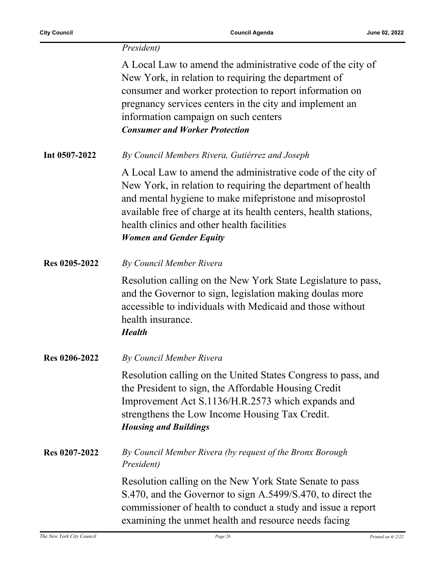|                      | President)                                                                                                                                                                                                                                                                                                                                |
|----------------------|-------------------------------------------------------------------------------------------------------------------------------------------------------------------------------------------------------------------------------------------------------------------------------------------------------------------------------------------|
|                      | A Local Law to amend the administrative code of the city of<br>New York, in relation to requiring the department of<br>consumer and worker protection to report information on<br>pregnancy services centers in the city and implement an<br>information campaign on such centers<br><b>Consumer and Worker Protection</b>                |
| Int 0507-2022        | By Council Members Rivera, Gutiérrez and Joseph                                                                                                                                                                                                                                                                                           |
|                      | A Local Law to amend the administrative code of the city of<br>New York, in relation to requiring the department of health<br>and mental hygiene to make mifepristone and misoprostol<br>available free of charge at its health centers, health stations,<br>health clinics and other health facilities<br><b>Women and Gender Equity</b> |
| <b>Res 0205-2022</b> | By Council Member Rivera                                                                                                                                                                                                                                                                                                                  |
|                      | Resolution calling on the New York State Legislature to pass,<br>and the Governor to sign, legislation making doulas more<br>accessible to individuals with Medicaid and those without<br>health insurance.<br><b>Health</b>                                                                                                              |
| Res 0206-2022        | By Council Member Rivera                                                                                                                                                                                                                                                                                                                  |
|                      | Resolution calling on the United States Congress to pass, and<br>the President to sign, the Affordable Housing Credit<br>Improvement Act S.1136/H.R.2573 which expands and<br>strengthens the Low Income Housing Tax Credit.<br><b>Housing and Buildings</b>                                                                              |
| <b>Res 0207-2022</b> | By Council Member Rivera (by request of the Bronx Borough<br>President)                                                                                                                                                                                                                                                                   |
|                      | Resolution calling on the New York State Senate to pass<br>S.470, and the Governor to sign A.5499/S.470, to direct the<br>commissioner of health to conduct a study and issue a report<br>examining the unmet health and resource needs facing                                                                                            |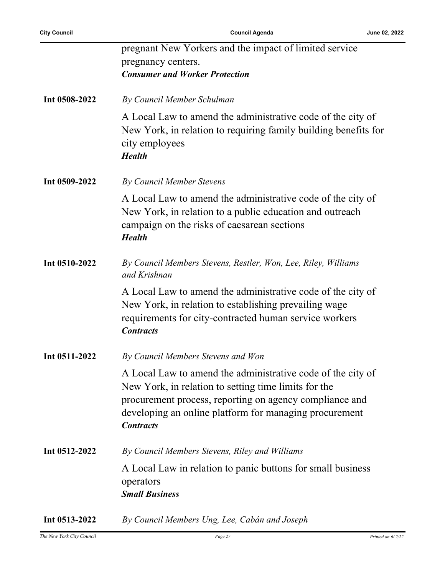|               | pregnant New Yorkers and the impact of limited service                                                                                                                                                                                                       |
|---------------|--------------------------------------------------------------------------------------------------------------------------------------------------------------------------------------------------------------------------------------------------------------|
|               | pregnancy centers.                                                                                                                                                                                                                                           |
|               | <b>Consumer and Worker Protection</b>                                                                                                                                                                                                                        |
|               |                                                                                                                                                                                                                                                              |
| Int 0508-2022 | By Council Member Schulman                                                                                                                                                                                                                                   |
|               | A Local Law to amend the administrative code of the city of<br>New York, in relation to requiring family building benefits for<br>city employees<br><b>Health</b>                                                                                            |
| Int 0509-2022 | <b>By Council Member Stevens</b>                                                                                                                                                                                                                             |
|               | A Local Law to amend the administrative code of the city of<br>New York, in relation to a public education and outreach<br>campaign on the risks of caesarean sections<br><b>Health</b>                                                                      |
| Int 0510-2022 | By Council Members Stevens, Restler, Won, Lee, Riley, Williams<br>and Krishnan                                                                                                                                                                               |
|               | A Local Law to amend the administrative code of the city of<br>New York, in relation to establishing prevailing wage<br>requirements for city-contracted human service workers<br><b>Contracts</b>                                                           |
| Int 0511-2022 | By Council Members Stevens and Won                                                                                                                                                                                                                           |
|               | A Local Law to amend the administrative code of the city of<br>New York, in relation to setting time limits for the<br>procurement process, reporting on agency compliance and<br>developing an online platform for managing procurement<br><b>Contracts</b> |
| Int 0512-2022 | By Council Members Stevens, Riley and Williams                                                                                                                                                                                                               |
|               | A Local Law in relation to panic buttons for small business<br>operators<br><b>Small Business</b>                                                                                                                                                            |
| Int 0513-2022 | By Council Members Ung, Lee, Cabán and Joseph                                                                                                                                                                                                                |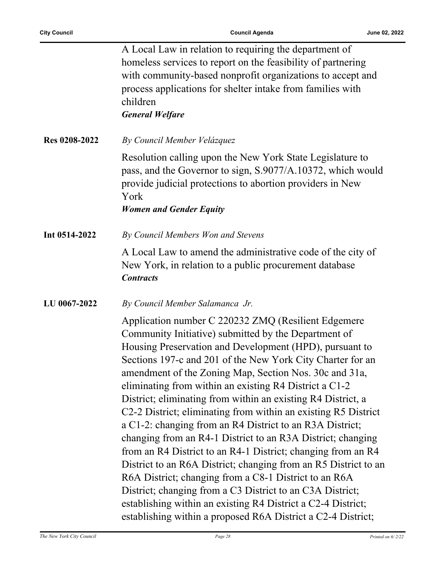|                      | A Local Law in relation to requiring the department of<br>homeless services to report on the feasibility of partnering<br>with community-based nonprofit organizations to accept and<br>process applications for shelter intake from families with<br>children<br><b>General Welfare</b>                                                                                                                                                                                                                                                                                                                                                                                                                                                                                                                                                                                                                                                                                                                       |
|----------------------|----------------------------------------------------------------------------------------------------------------------------------------------------------------------------------------------------------------------------------------------------------------------------------------------------------------------------------------------------------------------------------------------------------------------------------------------------------------------------------------------------------------------------------------------------------------------------------------------------------------------------------------------------------------------------------------------------------------------------------------------------------------------------------------------------------------------------------------------------------------------------------------------------------------------------------------------------------------------------------------------------------------|
| <b>Res 0208-2022</b> | By Council Member Velázquez                                                                                                                                                                                                                                                                                                                                                                                                                                                                                                                                                                                                                                                                                                                                                                                                                                                                                                                                                                                    |
|                      | Resolution calling upon the New York State Legislature to<br>pass, and the Governor to sign, S.9077/A.10372, which would<br>provide judicial protections to abortion providers in New<br>York<br><b>Women and Gender Equity</b>                                                                                                                                                                                                                                                                                                                                                                                                                                                                                                                                                                                                                                                                                                                                                                                |
| Int 0514-2022        | By Council Members Won and Stevens                                                                                                                                                                                                                                                                                                                                                                                                                                                                                                                                                                                                                                                                                                                                                                                                                                                                                                                                                                             |
|                      | A Local Law to amend the administrative code of the city of<br>New York, in relation to a public procurement database<br><b>Contracts</b>                                                                                                                                                                                                                                                                                                                                                                                                                                                                                                                                                                                                                                                                                                                                                                                                                                                                      |
| LU 0067-2022         | By Council Member Salamanca Jr.                                                                                                                                                                                                                                                                                                                                                                                                                                                                                                                                                                                                                                                                                                                                                                                                                                                                                                                                                                                |
|                      | Application number C 220232 ZMQ (Resilient Edgemere<br>Community Initiative) submitted by the Department of<br>Housing Preservation and Development (HPD), pursuant to<br>Sections 197-c and 201 of the New York City Charter for an<br>amendment of the Zoning Map, Section Nos. 30c and 31a,<br>eliminating from within an existing R4 District a C1-2<br>District; eliminating from within an existing R4 District, a<br>C2-2 District; eliminating from within an existing R5 District<br>a C1-2: changing from an R4 District to an R3A District;<br>changing from an R4-1 District to an R3A District; changing<br>from an R4 District to an R4-1 District; changing from an R4<br>District to an R6A District; changing from an R5 District to an<br>R6A District; changing from a C8-1 District to an R6A<br>District; changing from a C3 District to an C3A District;<br>establishing within an existing R4 District a C2-4 District;<br>establishing within a proposed R6A District a C2-4 District; |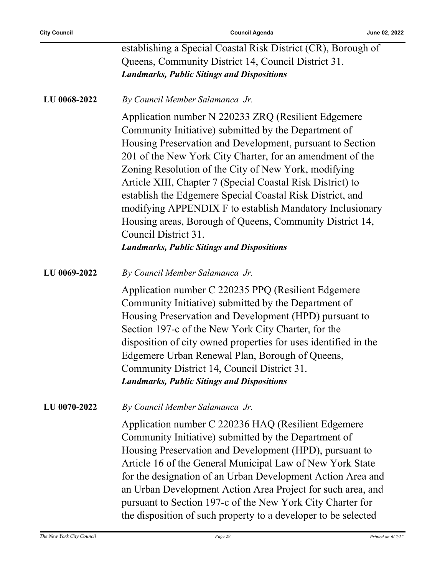|              | establishing a Special Coastal Risk District (CR), Borough of<br>Queens, Community District 14, Council District 31.<br><b>Landmarks, Public Sitings and Dispositions</b>                                                                                                                                                                                                                                                                                                                                                                                                                                                     |
|--------------|-------------------------------------------------------------------------------------------------------------------------------------------------------------------------------------------------------------------------------------------------------------------------------------------------------------------------------------------------------------------------------------------------------------------------------------------------------------------------------------------------------------------------------------------------------------------------------------------------------------------------------|
| LU 0068-2022 | By Council Member Salamanca Jr.                                                                                                                                                                                                                                                                                                                                                                                                                                                                                                                                                                                               |
|              | Application number N 220233 ZRQ (Resilient Edgemere<br>Community Initiative) submitted by the Department of<br>Housing Preservation and Development, pursuant to Section<br>201 of the New York City Charter, for an amendment of the<br>Zoning Resolution of the City of New York, modifying<br>Article XIII, Chapter 7 (Special Coastal Risk District) to<br>establish the Edgemere Special Coastal Risk District, and<br>modifying APPENDIX F to establish Mandatory Inclusionary<br>Housing areas, Borough of Queens, Community District 14,<br>Council District 31.<br><b>Landmarks, Public Sitings and Dispositions</b> |
| LU 0069-2022 | By Council Member Salamanca Jr.                                                                                                                                                                                                                                                                                                                                                                                                                                                                                                                                                                                               |
|              | Application number C 220235 PPQ (Resilient Edgemere<br>Community Initiative) submitted by the Department of<br>Housing Preservation and Development (HPD) pursuant to<br>Section 197-c of the New York City Charter, for the<br>disposition of city owned properties for uses identified in the<br>Edgemere Urban Renewal Plan, Borough of Queens,<br>Community District 14, Council District 31.<br><b>Landmarks, Public Sitings and Dispositions</b>                                                                                                                                                                        |
| LU 0070-2022 | By Council Member Salamanca Jr.                                                                                                                                                                                                                                                                                                                                                                                                                                                                                                                                                                                               |
|              | Application number C 220236 HAQ (Resilient Edgemere<br>Community Initiative) submitted by the Department of<br>Housing Preservation and Development (HPD), pursuant to<br>Article 16 of the General Municipal Law of New York State<br>for the designation of an Urban Development Action Area and<br>an Urban Development Action Area Project for such area, and<br>pursuant to Section 197-c of the New York City Charter for<br>the disposition of such property to a developer to be selected                                                                                                                             |